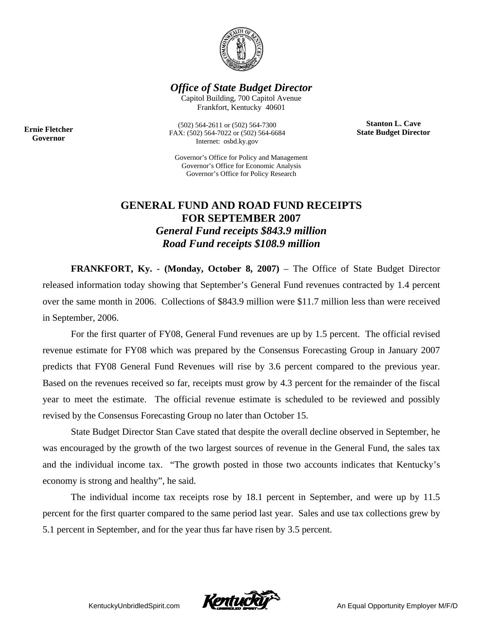

*Office of State Budget Director* 

Capitol Building, 700 Capitol Avenue Frankfort, Kentucky 40601

> **Stanton L. Cave State Budget Director**

**Ernie Fletcher Governor** 

(502) 564-2611 or (502) 564-7300 FAX: (502) 564-7022 or (502) 564-6684 Internet: osbd.ky.gov

Governor's Office for Policy and Management Governor's Office for Economic Analysis Governor's Office for Policy Research

## **GENERAL FUND AND ROAD FUND RECEIPTS FOR SEPTEMBER 2007**  *General Fund receipts \$843.9 million Road Fund receipts \$108.9 million*

**FRANKFORT, Ky.** - **(Monday, October 8, 2007)** – The Office of State Budget Director released information today showing that September's General Fund revenues contracted by 1.4 percent over the same month in 2006. Collections of \$843.9 million were \$11.7 million less than were received in September, 2006.

For the first quarter of FY08, General Fund revenues are up by 1.5 percent. The official revised revenue estimate for FY08 which was prepared by the Consensus Forecasting Group in January 2007 predicts that FY08 General Fund Revenues will rise by 3.6 percent compared to the previous year. Based on the revenues received so far, receipts must grow by 4.3 percent for the remainder of the fiscal year to meet the estimate. The official revenue estimate is scheduled to be reviewed and possibly revised by the Consensus Forecasting Group no later than October 15.

State Budget Director Stan Cave stated that despite the overall decline observed in September, he was encouraged by the growth of the two largest sources of revenue in the General Fund, the sales tax and the individual income tax. "The growth posted in those two accounts indicates that Kentucky's economy is strong and healthy", he said.

The individual income tax receipts rose by 18.1 percent in September, and were up by 11.5 percent for the first quarter compared to the same period last year. Sales and use tax collections grew by 5.1 percent in September, and for the year thus far have risen by 3.5 percent.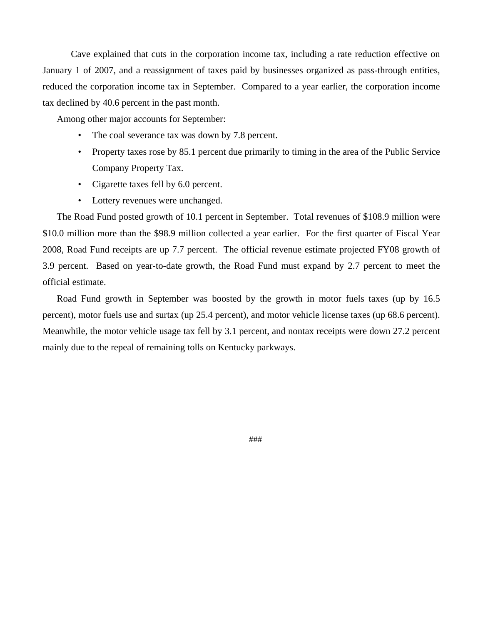Cave explained that cuts in the corporation income tax, including a rate reduction effective on January 1 of 2007, and a reassignment of taxes paid by businesses organized as pass-through entities, reduced the corporation income tax in September. Compared to a year earlier, the corporation income tax declined by 40.6 percent in the past month.

Among other major accounts for September:

- The coal severance tax was down by 7.8 percent.
- Property taxes rose by 85.1 percent due primarily to timing in the area of the Public Service Company Property Tax.
- Cigarette taxes fell by 6.0 percent.
- Lottery revenues were unchanged.

The Road Fund posted growth of 10.1 percent in September. Total revenues of \$108.9 million were \$10.0 million more than the \$98.9 million collected a year earlier. For the first quarter of Fiscal Year 2008, Road Fund receipts are up 7.7 percent. The official revenue estimate projected FY08 growth of 3.9 percent. Based on year-to-date growth, the Road Fund must expand by 2.7 percent to meet the official estimate.

Road Fund growth in September was boosted by the growth in motor fuels taxes (up by 16.5 percent), motor fuels use and surtax (up 25.4 percent), and motor vehicle license taxes (up 68.6 percent). Meanwhile, the motor vehicle usage tax fell by 3.1 percent, and nontax receipts were down 27.2 percent mainly due to the repeal of remaining tolls on Kentucky parkways.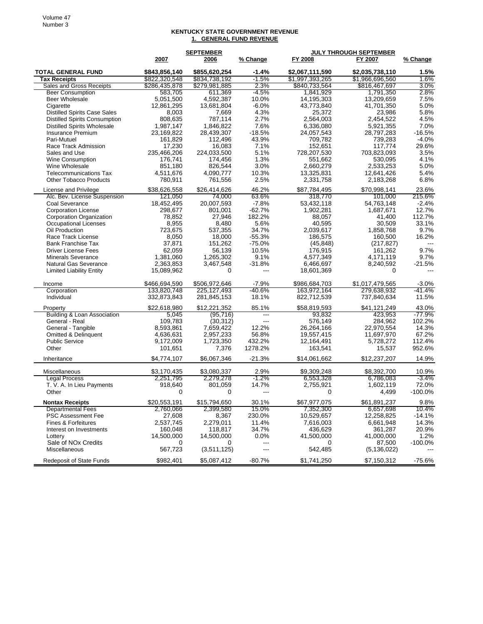## **KENTUCKY STATE GOVERNMENT REVENUE 1. GENERAL FUND REVENUE**

|                                                         | <b>SEPTEMBER</b> |                  |            | <b>JULY THROUGH SEPTEMBER</b> |                         |           |
|---------------------------------------------------------|------------------|------------------|------------|-------------------------------|-------------------------|-----------|
|                                                         | 2007             | 2006             | % Change   | FY 2008                       | FY 2007                 | % Change  |
| <b>TOTAL GENERAL FUND</b>                               | \$843,856,140    | \$855,620,254    | $-1.4%$    | \$2.067.111.590               | \$2,035,738,110         | 1.5%      |
| <b>Tax Receipts</b>                                     | \$822,320,548    | \$834,738,192    | $-1.5%$    | \$1,997,393,265               | \$1,966,696,560         | 1.6%      |
| Sales and Gross Receipts                                | \$286,435,878    | \$279,981,885    | 2.3%       | \$840,733,564                 | \$816,467,697           | 3.0%      |
| <b>Beer Consumption</b>                                 | 583,705          | 611,369          | -4.5%      | 1,841,929                     | 1,791,350               | 2.8%      |
| <b>Beer Wholesale</b>                                   | 5,051,500        | 4,592,387        | 10.0%      | 14,195,303                    | 13,209,659              | 7.5%      |
| Cigarette                                               | 12,861,295       | 13,681,804       | $-6.0%$    | 43,773,840                    | 41,701,350              | 5.0%      |
| <b>Distilled Spirits Case Sales</b>                     | 8,003            | 7,669            | 4.3%       | 25,372                        | 23,986                  | 5.8%      |
| <b>Distilled Spirits Consumption</b>                    | 808,635          | 787,114          | 2.7%       | 2,564,003                     | 2,454,522               | 4.5%      |
| <b>Distilled Spirits Wholesale</b>                      | 1,987,147        | 1,846,822        | 7.6%       | 6,336,080                     | 5,921,355               | 7.0%      |
| <b>Insurance Premium</b>                                | 23,169,822       | 28,439,307       | $-18.5%$   | 24,057,543                    | 28,797,283              | $-16.5%$  |
| Pari-Mutuel                                             | 161,829          | 112,496          | 43.9%      | 709,782                       | 739,283                 | $-4.0%$   |
| Race Track Admission                                    | 17,230           | 16,083           | 7.1%       | 152,651                       | 117,774                 | 29.6%     |
| Sales and Use                                           | 235,466,206      | 224,033,500      | 5.1%       | 728,207,530                   | 703,823,093             | 3.5%      |
| Wine Consumption                                        | 176,741          | 174,456          | 1.3%       | 551,662                       | 530.095                 | 4.1%      |
| Wine Wholesale                                          | 851,180          | 826,544          | 3.0%       | 2,660,279                     | 2,533,253               | 5.0%      |
| <b>Telecommunications Tax</b>                           | 4,511,676        | 4,090,777        | 10.3%      | 13,325,831                    | 12,641,426              | 5.4%      |
| <b>Other Tobacco Products</b>                           | 780,911          | 761,556          | 2.5%       | 2,331,758                     | 2,183,268               | 6.8%      |
| License and Privilege                                   | \$38,626,558     | \$26,414,626     | 46.2%      | \$87,784,495                  | \$70,998,141            | 23.6%     |
| Alc. Bev. License Suspension                            | 121,050          | 74,000           | 63.6%      | 318,770                       | 101,000                 | 215.6%    |
| Coal Severance                                          | 18.452.495       | 20,007,593       | $-7.8%$    | 53,432,118                    | 54,763,148              | $-2.4%$   |
| <b>Corporation License</b>                              | 298,677          | 801,001          | $-62.7%$   | 1,902,281                     | 1,687,671               | 12.7%     |
| <b>Corporation Organization</b>                         | 78,852           | 27,946           | 182.2%     | 88,057                        | 41,400                  | 112.7%    |
| Occupational Licenses                                   | 8,955            | 8,480            | 5.6%       | 40,595                        | 30,509                  | 33.1%     |
| Oil Production                                          | 723,675          | 537,355          | 34.7%      | 2,039,617                     | 1,858,768               | 9.7%      |
| Race Track License                                      | 8,050            | 18,000           | $-55.3%$   | 186,575                       | 160,500                 | 16.2%     |
| <b>Bank Franchise Tax</b>                               | 37,871           | 151,262          | $-75.0%$   | (45, 848)                     | (217, 827)              |           |
| <b>Driver License Fees</b>                              | 62,059           | 56.139           | 10.5%      | 176,915                       | 161,262                 | 9.7%      |
| <b>Minerals Severance</b>                               | 1,381,060        | 1,265,302        | 9.1%       | 4,577,349                     | 4,171,119               | 9.7%      |
| <b>Natural Gas Severance</b>                            | 2,363,853        | 3,467,548        | $-31.8%$   | 6,466,697                     | 8,240,592               | $-21.5%$  |
| <b>Limited Liability Entity</b>                         | 15,089,962       | 0                | $---$      | 18,601,369                    | $\Omega$                | $-$ --    |
| Income                                                  | \$466,694,590    | \$506,972,646    | $-7.9%$    | \$986,684,703                 | \$1,017,479,565         | $-3.0%$   |
| Corporation                                             | 133,820,748      | 225, 127, 493    | $-40.6%$   | 163,972,164                   | 279,638,932             | $-41.4%$  |
| Individual                                              | 332,873,843      | 281,845,153      | 18.1%      | 822,712,539                   | 737,840,634             | 11.5%     |
| Property                                                | \$22,618,980     | \$12,221,352     | 85.1%      | \$58,819,593                  | \$41,121,249            | 43.0%     |
| Building & Loan Association                             | 5,045            | (95,716)         |            | 93,832                        | 423,953                 | -77.9%    |
| General - Real                                          | 109,783          | (30, 312)        | $---$      | 576,149                       | 284,962                 | 102.2%    |
| General - Tangible                                      | 8,593,861        | 7,659,422        | 12.2%      | 26,264,166                    | 22,970,554              | 14.3%     |
| Omitted & Delinquent                                    | 4,636,631        | 2,957,233        | 56.8%      | 19,557,415                    | 11,697,970              | 67.2%     |
| <b>Public Service</b>                                   | 9,172,009        | 1,723,350        | 432.2%     | 12,164,491                    | 5,728,272               | 112.4%    |
| Other                                                   | 101,651          | 7,376            | 1278.2%    | 163,541                       | 15,537                  | 952.6%    |
| Inheritance                                             | \$4,774,107      | \$6,067,346      | $-21.3%$   | \$14,061,662                  | \$12,237,207            | 14.9%     |
| Miscellaneous                                           | \$3,170,435      | \$3,080,337      | 2.9%       | \$9,309,248                   | \$8,392,700             | 10.9%     |
| <b>Legal Process</b>                                    | 2,251,795        | 2,279,278        | $-1.2\%$   | 6,553,328                     | 6,786,083               | $-3.4%$   |
| T. V. A. In Lieu Payments                               | 918,640          | 801,059          | 14.7%      | 2,755,921                     | 1,602,119               | 72.0%     |
| Other                                                   | 0                | 0                | $---$      | 0                             | 4,499                   | $-100.0%$ |
| <b>Nontax Receipts</b>                                  | \$20,553,191     | \$15,794,650     | 30.1%      | \$67,977,075                  | \$61,891,237            | 9.8%      |
| <b>Departmental Fees</b>                                | 2,760,066        | 2,399,580        | 15.0%      | 7,352,300                     | 6,657,698               | 10.4%     |
| <b>PSC Assessment Fee</b>                               | 27,608           | 8,367            | 230.0%     | 10,529,657                    | 12,258,825              | $-14.1%$  |
| Fines & Forfeitures                                     | 2,537,745        | 2,279,011        | 11.4%      | 7,616,003                     | 6,661,948               | 14.3%     |
| Interest on Investments                                 | 160,048          | 118,817          | 34.7%      | 436,629                       | 361,287                 | 20.9%     |
| Lottery                                                 | 14,500,000       | 14,500,000       | 0.0%       | 41,500,000                    | 41,000,000              | 1.2%      |
| Sale of NO <sub>x</sub> Credits<br><b>Miscellaneous</b> | 0<br>567,723     | 0<br>(3,511,125) | ---<br>--- | 0<br>542,485                  | 87,500<br>(5, 136, 022) | -100.0%   |
| <b>Redeposit of State Funds</b>                         | \$982,401        | \$5,087,412      | $-80.7%$   | \$1,741,250                   | \$7,150,312             | $-75.6%$  |
|                                                         |                  |                  |            |                               |                         |           |